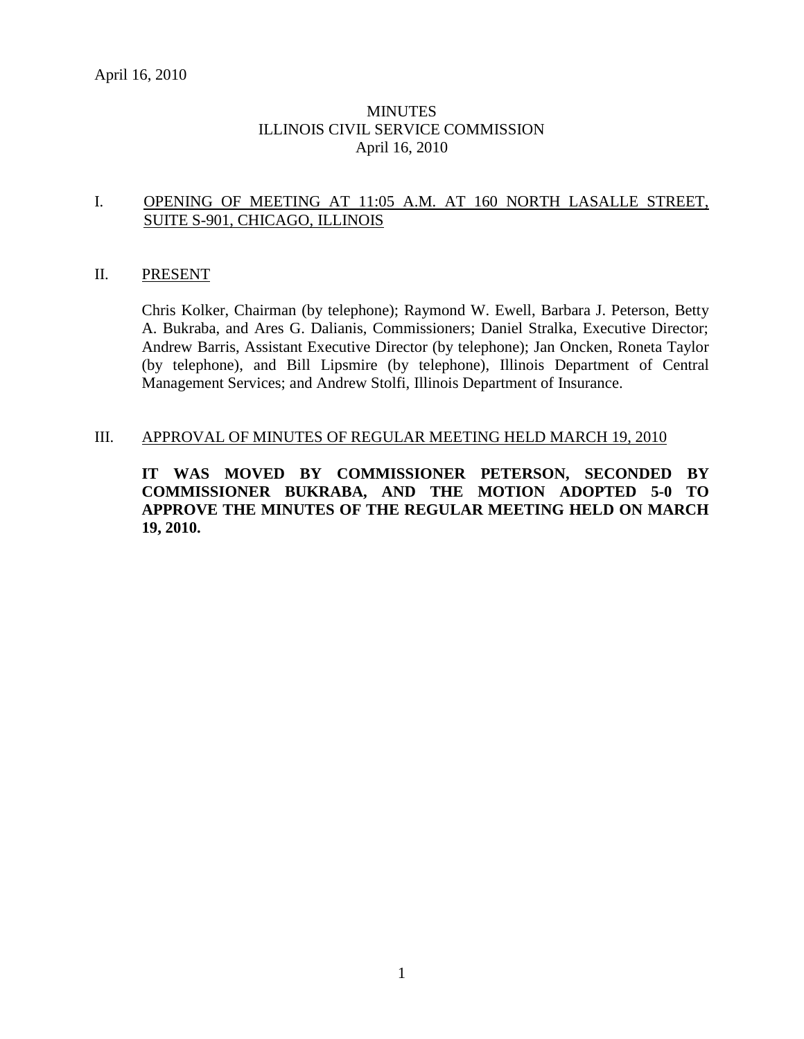# **MINUTES** ILLINOIS CIVIL SERVICE COMMISSION April 16, 2010

# I. OPENING OF MEETING AT 11:05 A.M. AT 160 NORTH LASALLE STREET, SUITE S-901, CHICAGO, ILLINOIS

### II. PRESENT

Chris Kolker, Chairman (by telephone); Raymond W. Ewell, Barbara J. Peterson, Betty A. Bukraba, and Ares G. Dalianis, Commissioners; Daniel Stralka, Executive Director; Andrew Barris, Assistant Executive Director (by telephone); Jan Oncken, Roneta Taylor (by telephone), and Bill Lipsmire (by telephone), Illinois Department of Central Management Services; and Andrew Stolfi, Illinois Department of Insurance.

### III. APPROVAL OF MINUTES OF REGULAR MEETING HELD MARCH 19, 2010

**IT WAS MOVED BY COMMISSIONER PETERSON, SECONDED BY COMMISSIONER BUKRABA, AND THE MOTION ADOPTED 5-0 TO APPROVE THE MINUTES OF THE REGULAR MEETING HELD ON MARCH 19, 2010.**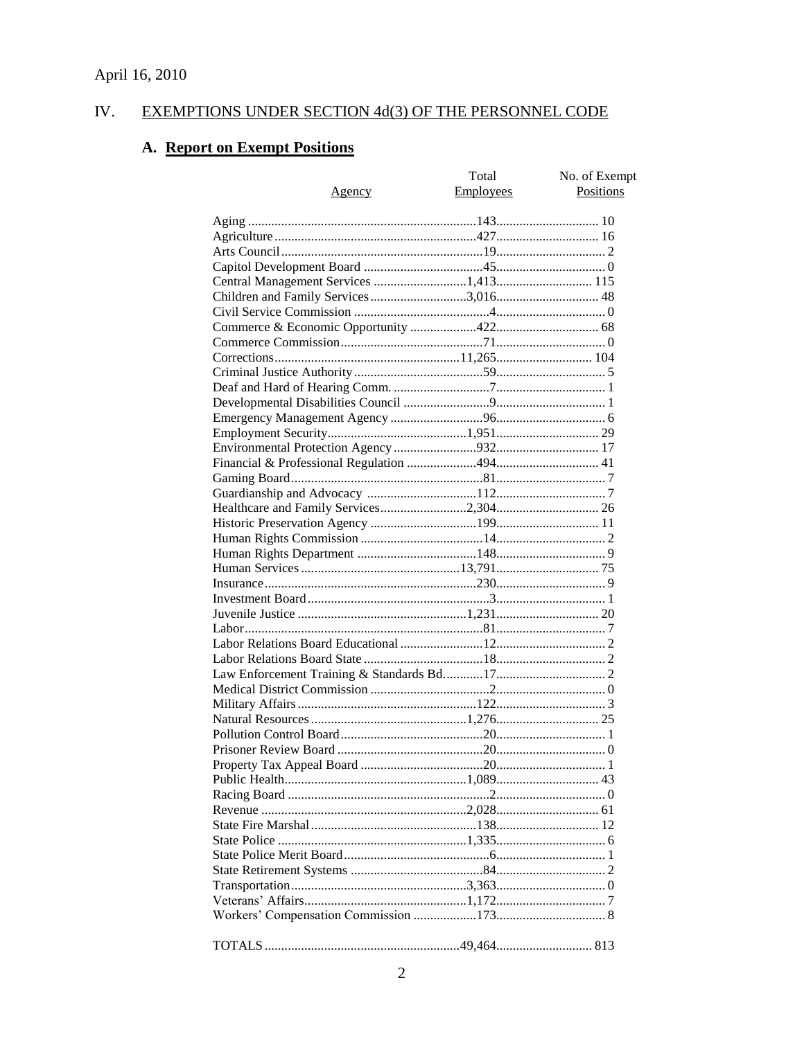#### IV. **EXEMPTIONS UNDER SECTION 4d(3) OF THE PERSONNEL CODE**

# A. Report on Exempt Positions

| <u>Agency</u>                         | Total<br><b>Employees</b> | No. of Exempt<br>Positions |
|---------------------------------------|---------------------------|----------------------------|
|                                       |                           |                            |
|                                       |                           |                            |
|                                       |                           |                            |
|                                       |                           |                            |
|                                       |                           |                            |
| Children and Family Services 3,016 48 |                           |                            |
|                                       |                           |                            |
|                                       |                           |                            |
|                                       |                           |                            |
|                                       |                           |                            |
|                                       |                           |                            |
|                                       |                           |                            |
|                                       |                           |                            |
|                                       |                           |                            |
|                                       |                           |                            |
|                                       |                           |                            |
|                                       |                           |                            |
|                                       |                           |                            |
|                                       |                           |                            |
|                                       |                           |                            |
|                                       |                           |                            |
|                                       |                           |                            |
|                                       |                           |                            |
|                                       |                           |                            |
|                                       |                           |                            |
|                                       |                           |                            |
|                                       |                           |                            |
|                                       |                           |                            |
|                                       |                           |                            |
|                                       |                           |                            |
|                                       |                           |                            |
|                                       |                           |                            |
|                                       |                           |                            |
|                                       |                           |                            |
|                                       |                           |                            |
|                                       |                           |                            |
|                                       |                           |                            |
|                                       |                           |                            |
|                                       |                           |                            |
|                                       |                           |                            |
|                                       |                           |                            |
|                                       |                           |                            |
|                                       |                           |                            |
|                                       |                           |                            |
|                                       |                           |                            |
|                                       |                           |                            |
|                                       |                           |                            |
|                                       |                           |                            |
|                                       |                           |                            |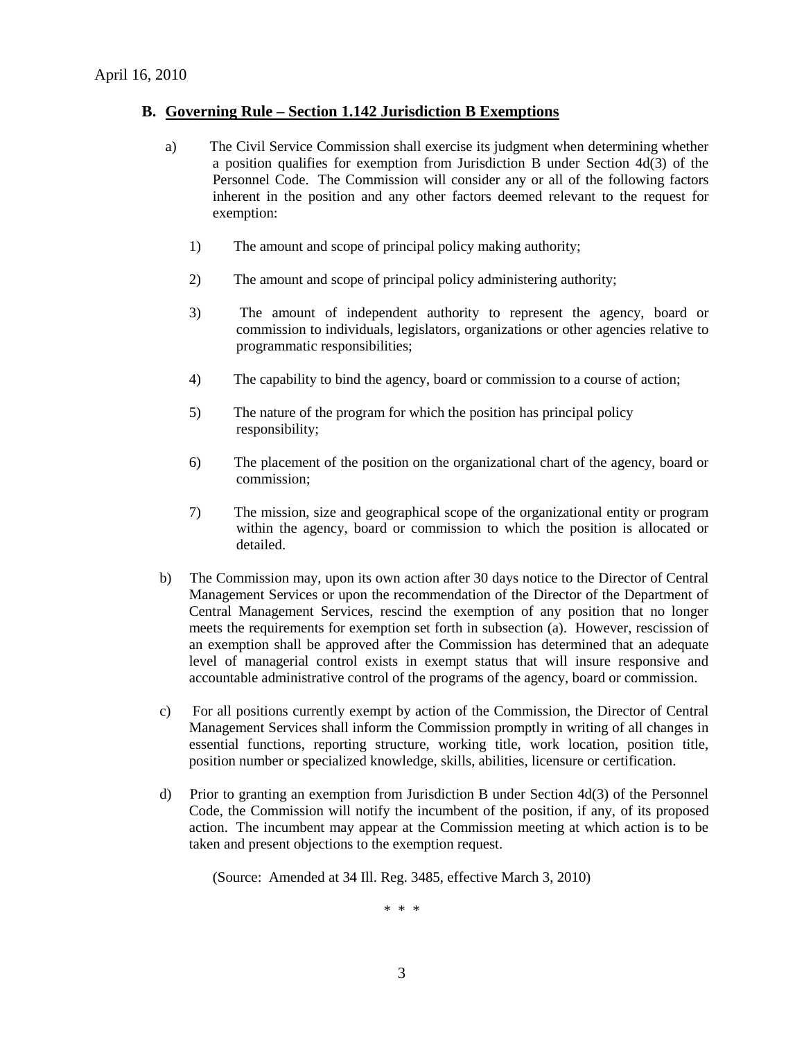### **B. Governing Rule – Section 1.142 Jurisdiction B Exemptions**

- a) The Civil Service Commission shall exercise its judgment when determining whether a position qualifies for exemption from Jurisdiction B under Section 4d(3) of the Personnel Code. The Commission will consider any or all of the following factors inherent in the position and any other factors deemed relevant to the request for exemption:
	- 1) The amount and scope of principal policy making authority;
	- 2) The amount and scope of principal policy administering authority;
	- 3) The amount of independent authority to represent the agency, board or commission to individuals, legislators, organizations or other agencies relative to programmatic responsibilities;
	- 4) The capability to bind the agency, board or commission to a course of action;
	- 5) The nature of the program for which the position has principal policy responsibility;
	- 6) The placement of the position on the organizational chart of the agency, board or commission;
	- 7) The mission, size and geographical scope of the organizational entity or program within the agency, board or commission to which the position is allocated or detailed.
- b) The Commission may, upon its own action after 30 days notice to the Director of Central Management Services or upon the recommendation of the Director of the Department of Central Management Services, rescind the exemption of any position that no longer meets the requirements for exemption set forth in subsection (a). However, rescission of an exemption shall be approved after the Commission has determined that an adequate level of managerial control exists in exempt status that will insure responsive and accountable administrative control of the programs of the agency, board or commission.
- c) For all positions currently exempt by action of the Commission, the Director of Central Management Services shall inform the Commission promptly in writing of all changes in essential functions, reporting structure, working title, work location, position title, position number or specialized knowledge, skills, abilities, licensure or certification.
- d) Prior to granting an exemption from Jurisdiction B under Section 4d(3) of the Personnel Code, the Commission will notify the incumbent of the position, if any, of its proposed action. The incumbent may appear at the Commission meeting at which action is to be taken and present objections to the exemption request.

(Source: Amended at 34 Ill. Reg. 3485, effective March 3, 2010)

\* \* \*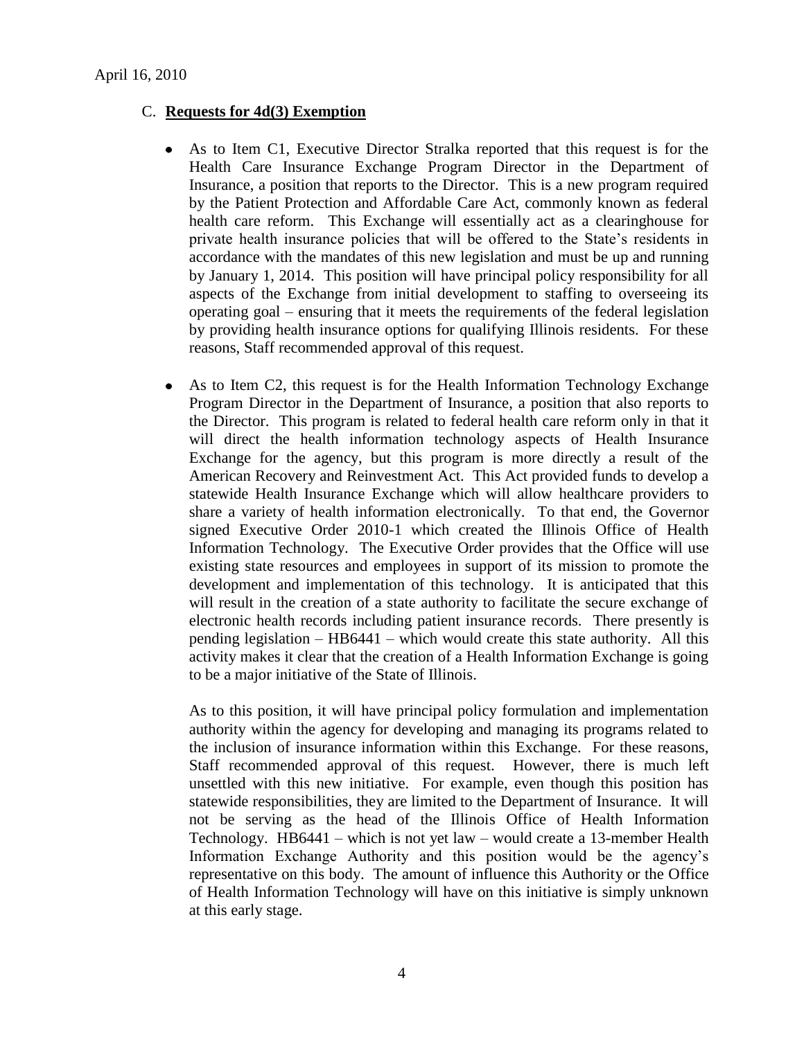### C. **Requests for 4d(3) Exemption**

- As to Item C1, Executive Director Stralka reported that this request is for the Health Care Insurance Exchange Program Director in the Department of Insurance, a position that reports to the Director. This is a new program required by the Patient Protection and Affordable Care Act, commonly known as federal health care reform. This Exchange will essentially act as a clearinghouse for private health insurance policies that will be offered to the State's residents in accordance with the mandates of this new legislation and must be up and running by January 1, 2014. This position will have principal policy responsibility for all aspects of the Exchange from initial development to staffing to overseeing its operating goal – ensuring that it meets the requirements of the federal legislation by providing health insurance options for qualifying Illinois residents. For these reasons, Staff recommended approval of this request.
- As to Item C2, this request is for the Health Information Technology Exchange  $\bullet$ Program Director in the Department of Insurance, a position that also reports to the Director. This program is related to federal health care reform only in that it will direct the health information technology aspects of Health Insurance Exchange for the agency, but this program is more directly a result of the American Recovery and Reinvestment Act. This Act provided funds to develop a statewide Health Insurance Exchange which will allow healthcare providers to share a variety of health information electronically. To that end, the Governor signed Executive Order 2010-1 which created the Illinois Office of Health Information Technology. The Executive Order provides that the Office will use existing state resources and employees in support of its mission to promote the development and implementation of this technology. It is anticipated that this will result in the creation of a state authority to facilitate the secure exchange of electronic health records including patient insurance records. There presently is pending legislation – HB6441 – which would create this state authority. All this activity makes it clear that the creation of a Health Information Exchange is going to be a major initiative of the State of Illinois.

As to this position, it will have principal policy formulation and implementation authority within the agency for developing and managing its programs related to the inclusion of insurance information within this Exchange. For these reasons, Staff recommended approval of this request. However, there is much left unsettled with this new initiative. For example, even though this position has statewide responsibilities, they are limited to the Department of Insurance. It will not be serving as the head of the Illinois Office of Health Information Technology. HB6441 – which is not yet law – would create a 13-member Health Information Exchange Authority and this position would be the agency's representative on this body. The amount of influence this Authority or the Office of Health Information Technology will have on this initiative is simply unknown at this early stage.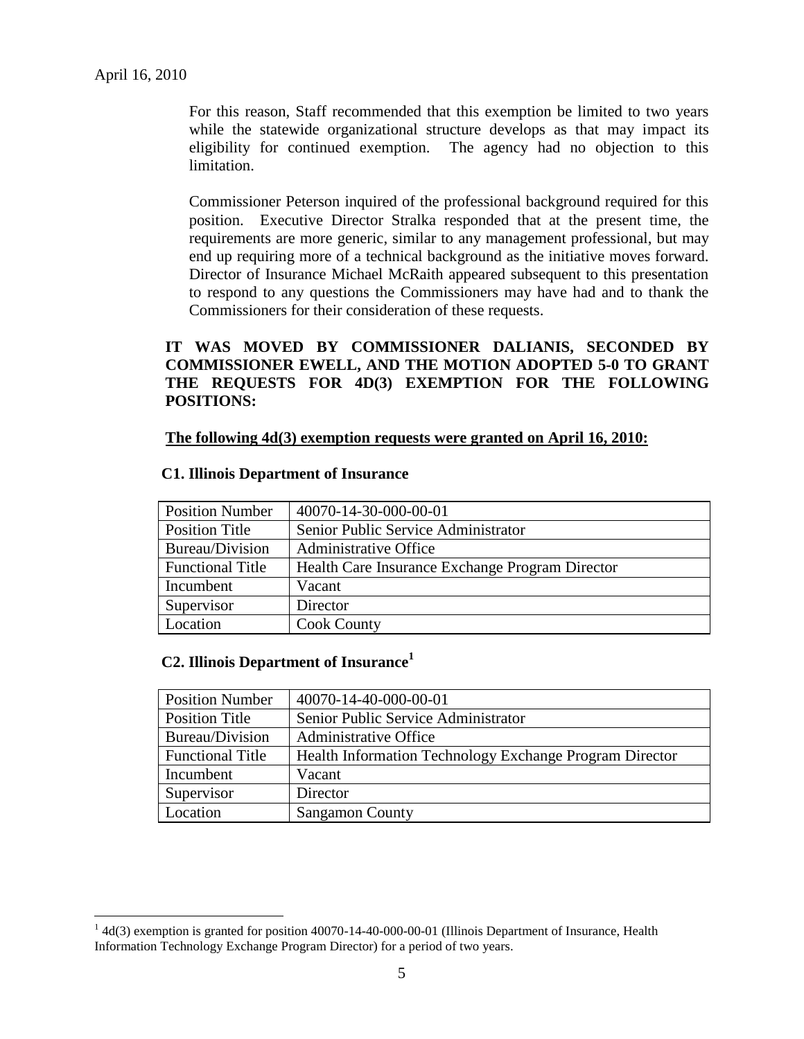$\overline{a}$ 

For this reason, Staff recommended that this exemption be limited to two years while the statewide organizational structure develops as that may impact its eligibility for continued exemption. The agency had no objection to this limitation.

Commissioner Peterson inquired of the professional background required for this position. Executive Director Stralka responded that at the present time, the requirements are more generic, similar to any management professional, but may end up requiring more of a technical background as the initiative moves forward. Director of Insurance Michael McRaith appeared subsequent to this presentation to respond to any questions the Commissioners may have had and to thank the Commissioners for their consideration of these requests.

# **IT WAS MOVED BY COMMISSIONER DALIANIS, SECONDED BY COMMISSIONER EWELL, AND THE MOTION ADOPTED 5-0 TO GRANT THE REQUESTS FOR 4D(3) EXEMPTION FOR THE FOLLOWING POSITIONS:**

#### **The following 4d(3) exemption requests were granted on April 16, 2010:**

| <b>Position Number</b>  | 40070-14-30-000-00-01                           |
|-------------------------|-------------------------------------------------|
| Position Title          | Senior Public Service Administrator             |
| Bureau/Division         | <b>Administrative Office</b>                    |
| <b>Functional Title</b> | Health Care Insurance Exchange Program Director |
| Incumbent               | Vacant                                          |
| Supervisor              | Director                                        |
| Location                | <b>Cook County</b>                              |

#### **C1. Illinois Department of Insurance**

### **C2. Illinois Department of Insurance<sup>1</sup>**

| <b>Position Number</b>  | 40070-14-40-000-00-01                                   |
|-------------------------|---------------------------------------------------------|
| <b>Position Title</b>   | Senior Public Service Administrator                     |
| Bureau/Division         | <b>Administrative Office</b>                            |
| <b>Functional Title</b> | Health Information Technology Exchange Program Director |
| Incumbent               | Vacant                                                  |
| Supervisor              | Director                                                |
| Location                | <b>Sangamon County</b>                                  |

 $14d(3)$  exemption is granted for position 40070-14-40-000-00-01 (Illinois Department of Insurance, Health Information Technology Exchange Program Director) for a period of two years.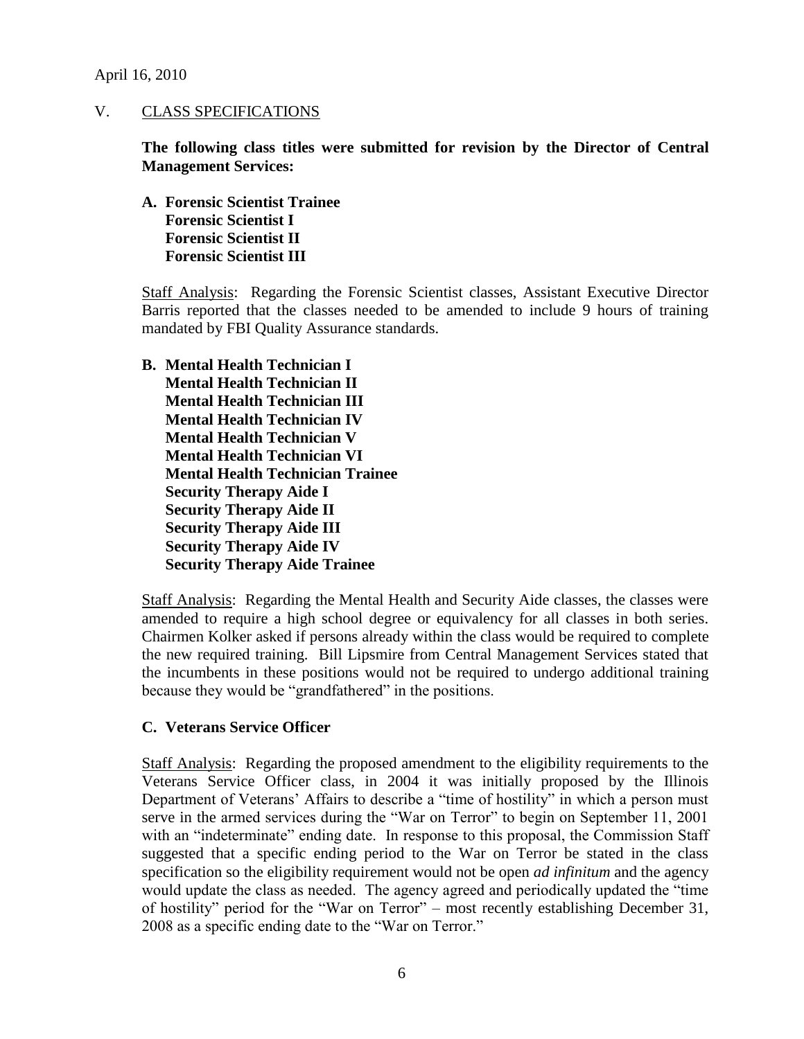April 16, 2010

### V. CLASS SPECIFICATIONS

**The following class titles were submitted for revision by the Director of Central Management Services:**

**A. Forensic Scientist Trainee Forensic Scientist I Forensic Scientist II Forensic Scientist III**

Staff Analysis: Regarding the Forensic Scientist classes, Assistant Executive Director Barris reported that the classes needed to be amended to include 9 hours of training mandated by FBI Quality Assurance standards.

**B. Mental Health Technician I Mental Health Technician II Mental Health Technician III Mental Health Technician IV Mental Health Technician V Mental Health Technician VI Mental Health Technician Trainee Security Therapy Aide I Security Therapy Aide II Security Therapy Aide III Security Therapy Aide IV Security Therapy Aide Trainee**

Staff Analysis: Regarding the Mental Health and Security Aide classes, the classes were amended to require a high school degree or equivalency for all classes in both series. Chairmen Kolker asked if persons already within the class would be required to complete the new required training. Bill Lipsmire from Central Management Services stated that the incumbents in these positions would not be required to undergo additional training because they would be "grandfathered" in the positions.

### **C. Veterans Service Officer**

Staff Analysis: Regarding the proposed amendment to the eligibility requirements to the Veterans Service Officer class, in 2004 it was initially proposed by the Illinois Department of Veterans' Affairs to describe a "time of hostility" in which a person must serve in the armed services during the "War on Terror" to begin on September 11, 2001 with an "indeterminate" ending date. In response to this proposal, the Commission Staff suggested that a specific ending period to the War on Terror be stated in the class specification so the eligibility requirement would not be open *ad infinitum* and the agency would update the class as needed. The agency agreed and periodically updated the "time of hostility" period for the "War on Terror" – most recently establishing December 31, 2008 as a specific ending date to the "War on Terror."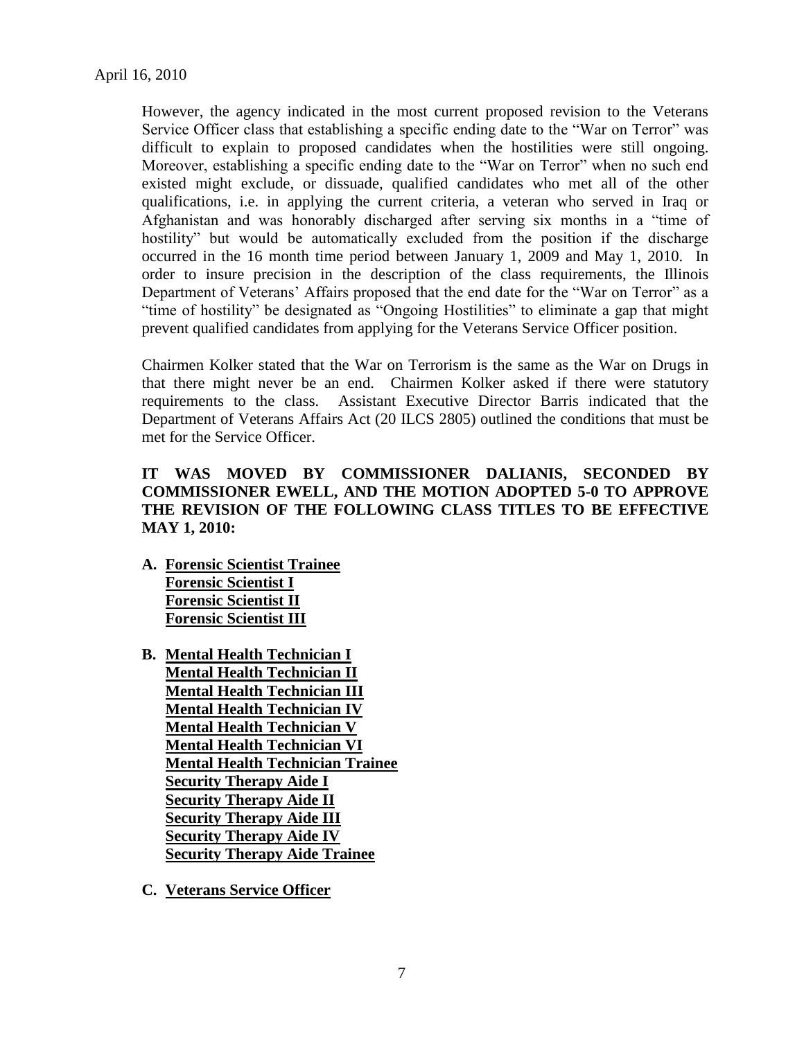However, the agency indicated in the most current proposed revision to the Veterans Service Officer class that establishing a specific ending date to the "War on Terror" was difficult to explain to proposed candidates when the hostilities were still ongoing. Moreover, establishing a specific ending date to the "War on Terror" when no such end existed might exclude, or dissuade, qualified candidates who met all of the other qualifications, i.e. in applying the current criteria, a veteran who served in Iraq or Afghanistan and was honorably discharged after serving six months in a "time of hostility" but would be automatically excluded from the position if the discharge occurred in the 16 month time period between January 1, 2009 and May 1, 2010. In order to insure precision in the description of the class requirements, the Illinois Department of Veterans' Affairs proposed that the end date for the "War on Terror" as a "time of hostility" be designated as "Ongoing Hostilities" to eliminate a gap that might prevent qualified candidates from applying for the Veterans Service Officer position.

Chairmen Kolker stated that the War on Terrorism is the same as the War on Drugs in that there might never be an end. Chairmen Kolker asked if there were statutory requirements to the class. Assistant Executive Director Barris indicated that the Department of Veterans Affairs Act (20 ILCS 2805) outlined the conditions that must be met for the Service Officer.

# **IT WAS MOVED BY COMMISSIONER DALIANIS, SECONDED BY COMMISSIONER EWELL, AND THE MOTION ADOPTED 5-0 TO APPROVE THE REVISION OF THE FOLLOWING CLASS TITLES TO BE EFFECTIVE MAY 1, 2010:**

- **A. Forensic Scientist Trainee Forensic Scientist I Forensic Scientist II Forensic Scientist III**
- **B. Mental Health Technician I Mental Health Technician II Mental Health Technician III Mental Health Technician IV Mental Health Technician V Mental Health Technician VI Mental Health Technician Trainee Security Therapy Aide I Security Therapy Aide II Security Therapy Aide III Security Therapy Aide IV Security Therapy Aide Trainee**
- **C. Veterans Service Officer**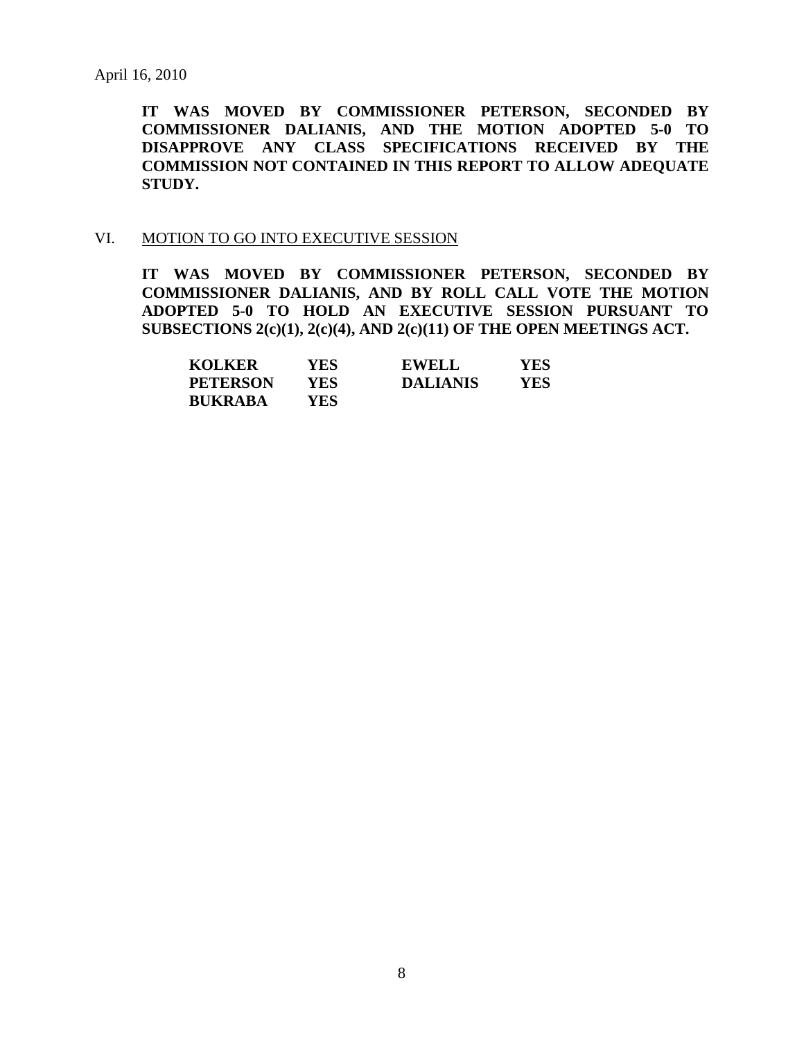**IT WAS MOVED BY COMMISSIONER PETERSON, SECONDED BY COMMISSIONER DALIANIS, AND THE MOTION ADOPTED 5-0 TO DISAPPROVE ANY CLASS SPECIFICATIONS RECEIVED BY THE COMMISSION NOT CONTAINED IN THIS REPORT TO ALLOW ADEQUATE STUDY.** 

#### VI. MOTION TO GO INTO EXECUTIVE SESSION

**IT WAS MOVED BY COMMISSIONER PETERSON, SECONDED BY COMMISSIONER DALIANIS, AND BY ROLL CALL VOTE THE MOTION ADOPTED 5-0 TO HOLD AN EXECUTIVE SESSION PURSUANT TO SUBSECTIONS 2(c)(1), 2(c)(4), AND 2(c)(11) OF THE OPEN MEETINGS ACT.** 

| <b>KOLKER</b>   | YES.       | <b>EWELL</b>    | YES. |
|-----------------|------------|-----------------|------|
| <b>PETERSON</b> | YES.       | <b>DALIANIS</b> | YES  |
| <b>BUKRABA</b>  | <b>YES</b> |                 |      |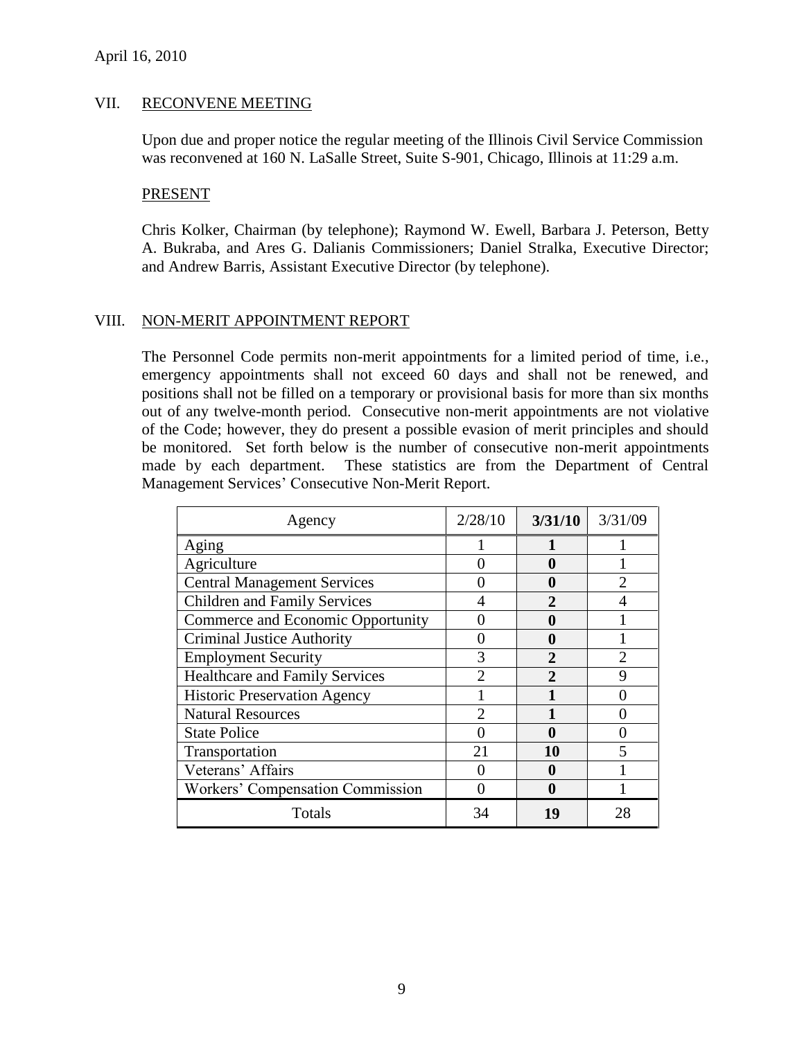### VII. RECONVENE MEETING

Upon due and proper notice the regular meeting of the Illinois Civil Service Commission was reconvened at 160 N. LaSalle Street, Suite S-901, Chicago, Illinois at 11:29 a.m.

#### PRESENT

Chris Kolker, Chairman (by telephone); Raymond W. Ewell, Barbara J. Peterson, Betty A. Bukraba, and Ares G. Dalianis Commissioners; Daniel Stralka, Executive Director; and Andrew Barris, Assistant Executive Director (by telephone).

### VIII. NON-MERIT APPOINTMENT REPORT

The Personnel Code permits non-merit appointments for a limited period of time, i.e., emergency appointments shall not exceed 60 days and shall not be renewed, and positions shall not be filled on a temporary or provisional basis for more than six months out of any twelve-month period. Consecutive non-merit appointments are not violative of the Code; however, they do present a possible evasion of merit principles and should be monitored. Set forth below is the number of consecutive non-merit appointments made by each department. These statistics are from the Department of Central Management Services' Consecutive Non-Merit Report.

| Agency                                | 2/28/10                     | 3/31/10      | 3/31/09 |
|---------------------------------------|-----------------------------|--------------|---------|
| Aging                                 |                             |              |         |
| Agriculture                           |                             | O            |         |
| <b>Central Management Services</b>    |                             | 0            |         |
| <b>Children and Family Services</b>   |                             | $\mathbf{2}$ |         |
| Commerce and Economic Opportunity     |                             | 0            |         |
| <b>Criminal Justice Authority</b>     |                             | 0            |         |
| <b>Employment Security</b>            | 3                           | $\mathbf{2}$ |         |
| <b>Healthcare and Family Services</b> | $\mathcal{D}_{\mathcal{A}}$ |              |         |
| <b>Historic Preservation Agency</b>   |                             |              |         |
| <b>Natural Resources</b>              | $\mathcal{D}_{\mathcal{A}}$ |              |         |
| <b>State Police</b>                   |                             | 0            |         |
| Transportation                        | 21                          | 10           |         |
| Veterans' Affairs                     |                             | O            |         |
| Workers' Compensation Commission      |                             | O            |         |
| Totals                                | 34                          | 19           | 28      |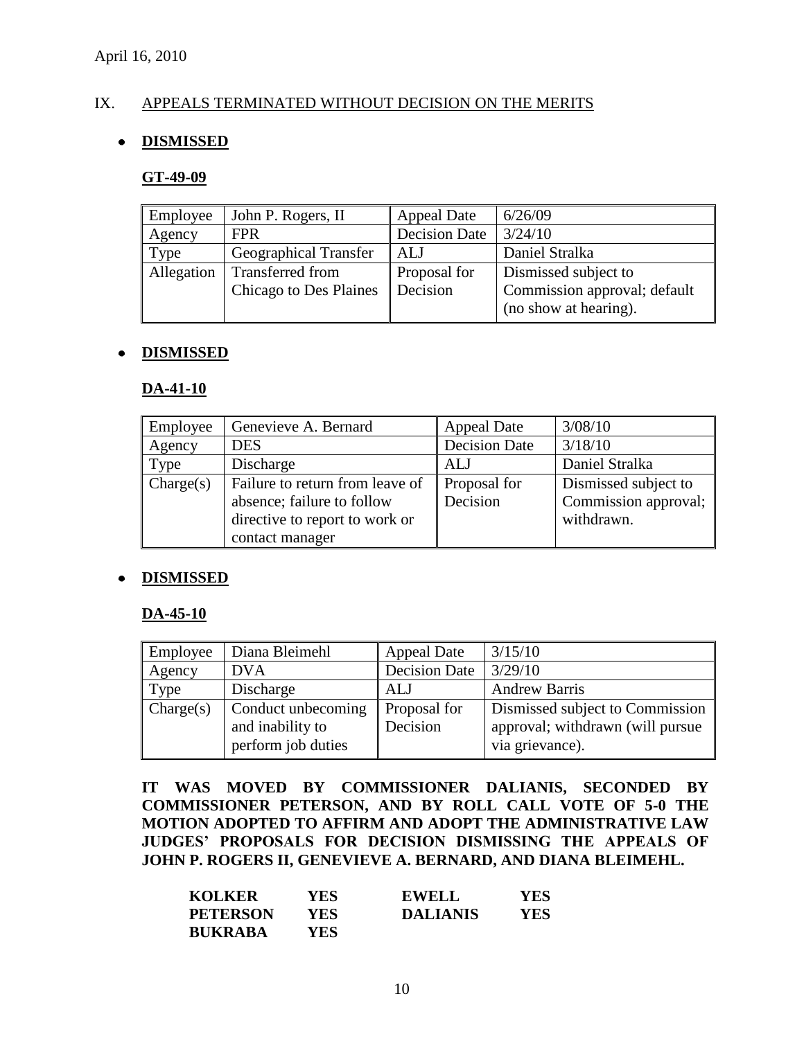# IX. APPEALS TERMINATED WITHOUT DECISION ON THE MERITS

# **DISMISSED**

#### **GT-49-09**

| Employee   | John P. Rogers, II            | <b>Appeal Date</b>   | 6/26/09                      |
|------------|-------------------------------|----------------------|------------------------------|
| Agency     | <b>FPR</b>                    | <b>Decision Date</b> | 3/24/10                      |
| Type       | <b>Geographical Transfer</b>  | ALJ                  | Daniel Stralka               |
| Allegation | <b>Transferred from</b>       | Proposal for         | Dismissed subject to         |
|            | <b>Chicago to Des Plaines</b> | Decision             | Commission approval; default |
|            |                               |                      | (no show at hearing).        |

#### **DISMISSED**  $\bullet$

#### **DA-41-10**

| Employee  | Genevieve A. Bernard            | <b>Appeal Date</b>   | 3/08/10              |
|-----------|---------------------------------|----------------------|----------------------|
| Agency    | <b>DES</b>                      | <b>Decision Date</b> | 3/18/10              |
| Type      | Discharge                       | <b>ALJ</b>           | Daniel Stralka       |
| Change(s) | Failure to return from leave of | Proposal for         | Dismissed subject to |
|           | absence; failure to follow      | Decision             | Commission approval; |
|           | directive to report to work or  |                      | withdrawn.           |
|           | contact manager                 |                      |                      |

### **DISMISSED**

### **DA-45-10**

| Employee  | Diana Bleimehl     | <b>Appeal Date</b>   | 3/15/10                          |
|-----------|--------------------|----------------------|----------------------------------|
| Agency    | <b>DVA</b>         | <b>Decision Date</b> | 3/29/10                          |
| Type      | Discharge          | <b>ALJ</b>           | <b>Andrew Barris</b>             |
| Change(s) | Conduct unbecoming | Proposal for         | Dismissed subject to Commission  |
|           | and inability to   | Decision             | approval; withdrawn (will pursue |
|           | perform job duties |                      | via grievance).                  |

**IT WAS MOVED BY COMMISSIONER DALIANIS, SECONDED BY COMMISSIONER PETERSON, AND BY ROLL CALL VOTE OF 5-0 THE MOTION ADOPTED TO AFFIRM AND ADOPT THE ADMINISTRATIVE LAW JUDGES' PROPOSALS FOR DECISION DISMISSING THE APPEALS OF JOHN P. ROGERS II, GENEVIEVE A. BERNARD, AND DIANA BLEIMEHL.**

| <b>KOLKER</b>   | YES  | <b>EWELL</b>    | YES |
|-----------------|------|-----------------|-----|
| <b>PETERSON</b> | YES  | <b>DALIANIS</b> | YES |
| <b>BUKRABA</b>  | YES- |                 |     |